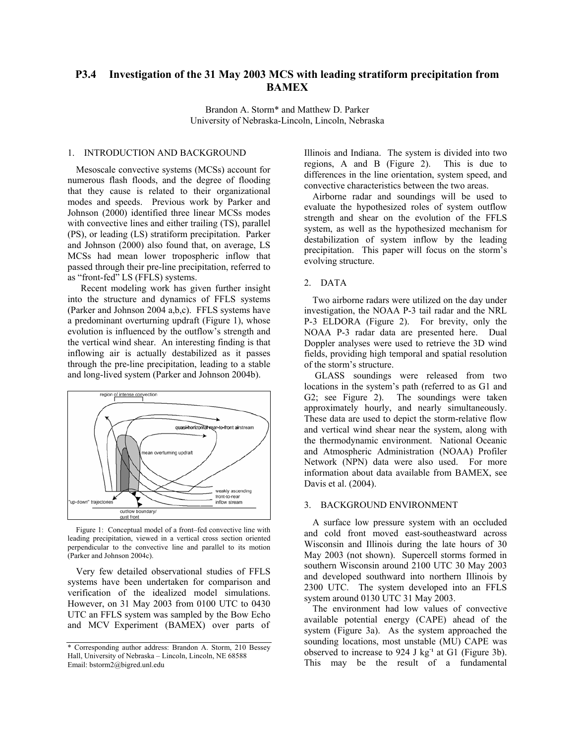# **P3.4 Investigation of the 31 May 2003 MCS with leading stratiform precipitation from BAMEX**

Brandon A. Storm\* and Matthew D. Parker University of Nebraska-Lincoln, Lincoln, Nebraska

#### 1. INTRODUCTION AND BACKGROUND

Mesoscale convective systems (MCSs) account for numerous flash floods, and the degree of flooding that they cause is related to their organizational modes and speeds. Previous work by Parker and Johnson (2000) identified three linear MCSs modes with convective lines and either trailing (TS), parallel (PS), or leading (LS) stratiform precipitation. Parker and Johnson (2000) also found that, on average, LS MCSs had mean lower tropospheric inflow that passed through their pre-line precipitation, referred to as "front-fed" LS (FFLS) systems.

 Recent modeling work has given further insight into the structure and dynamics of FFLS systems (Parker and Johnson 2004 a,b,c). FFLS systems have a predominant overturning updraft (Figure 1), whose evolution is influenced by the outflow's strength and the vertical wind shear. An interesting finding is that inflowing air is actually destabilized as it passes through the pre-line precipitation, leading to a stable and long-lived system (Parker and Johnson 2004b).



Figure 1: Conceptual model of a front–fed convective line with leading precipitation, viewed in a vertical cross section oriented perpendicular to the convective line and parallel to its motion (Parker and Johnson 2004c).

Very few detailed observational studies of FFLS systems have been undertaken for comparison and verification of the idealized model simulations. However, on 31 May 2003 from 0100 UTC to 0430 UTC an FFLS system was sampled by the Bow Echo and MCV Experiment (BAMEX) over parts of Illinois and Indiana. The system is divided into two regions, A and B (Figure 2). differences in the line orientation, system speed, and convective characteristics between the two areas.

Airborne radar and soundings will be used to evaluate the hypothesized roles of system outflow strength and shear on the evolution of the FFLS system, as well as the hypothesized mechanism for destabilization of system inflow by the leading precipitation. This paper will focus on the storm's evolving structure.

#### 2. DATA

Two airborne radars were utilized on the day under investigation, the NOAA P-3 tail radar and the NRL P-3 ELDORA (Figure 2). For brevity, only the NOAA P-3 radar data are presented here. Dual Doppler analyses were used to retrieve the 3D wind fields, providing high temporal and spatial resolution of the storm's structure.

 GLASS soundings were released from two locations in the system's path (referred to as G1 and G2; see Figure 2). The soundings were taken approximately hourly, and nearly simultaneously. These data are used to depict the storm-relative flow and vertical wind shear near the system, along with the thermodynamic environment. National Oceanic and Atmospheric Administration (NOAA) Profiler Network (NPN) data were also used. For more information about data available from BAMEX, see Davis et al. (2004).

#### 3. BACKGROUND ENVIRONMENT

A surface low pressure system with an occluded and cold front moved east-southeastward across Wisconsin and Illinois during the late hours of 30 May 2003 (not shown). Supercell storms formed in southern Wisconsin around 2100 UTC 30 May 2003 and developed southward into northern Illinois by 2300 UTC. The system developed into an FFLS system around 0130 UTC 31 May 2003.

The environment had low values of convective available potential energy (CAPE) ahead of the system (Figure 3a). As the system approached the sounding locations, most unstable (MU) CAPE was observed to increase to 924 J kg<sup>-1</sup> at G1 (Figure 3b). This may be the result of a fundamental

<sup>\*</sup> Corresponding author address: Brandon A. Storm, 210 Bessey Hall, University of Nebraska – Lincoln, Lincoln, NE 68588 Email: bstorm2@bigred.unl.edu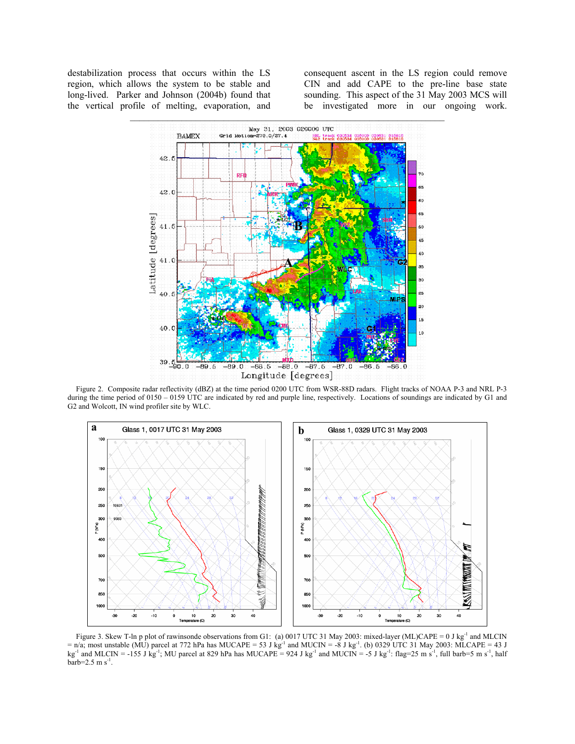destabilization process that occurs within the LS region, which allows the system to be stable and long-lived. Parker and Johnson (2004b) found that the vertical profile of melting, evaporation, and consequent ascent in the LS region could remove CIN and add CAPE to the pre-line base state sounding. This aspect of the 31 May 2003 MCS will be investigated more in our ongoing work.



Figure 2. Composite radar reflectivity (dBZ) at the time period 0200 UTC from WSR-88D radars. Flight tracks of NOAA P-3 and NRL P-3 during the time period of 0150 – 0159 UTC are indicated by red and purple line, respectively. Locations of soundings are indicated by G1 and G2 and Wolcott, IN wind profiler site by WLC.



Figure 3. Skew T-ln p plot of rawinsonde observations from G1: (a) 0017 UTC 31 May 2003: mixed-layer (ML)CAPE = 0 J kg<sup>-1</sup> and MLCIN  $=$  n/a; most unstable (MU) parcel at 772 hPa has MUCAPE = 53 J kg<sup>-1</sup> and MUCIN = -8 J kg<sup>-1</sup>. (b) 0329 UTC 31 May 2003: MLCAPE = 43 J kg<sup>-1</sup> and MLCIN = -155 J kg<sup>-1</sup>; MU parcel at 829 hPa has MUCAPE = 924 J kg<sup>-1</sup> and MUCIN = -5 J kg<sup>-1</sup>: flag=25 m s<sup>-1</sup>, full barb=5 m s<sup>-1</sup>, half  $barb=2.5$  m s<sup>-1</sup>.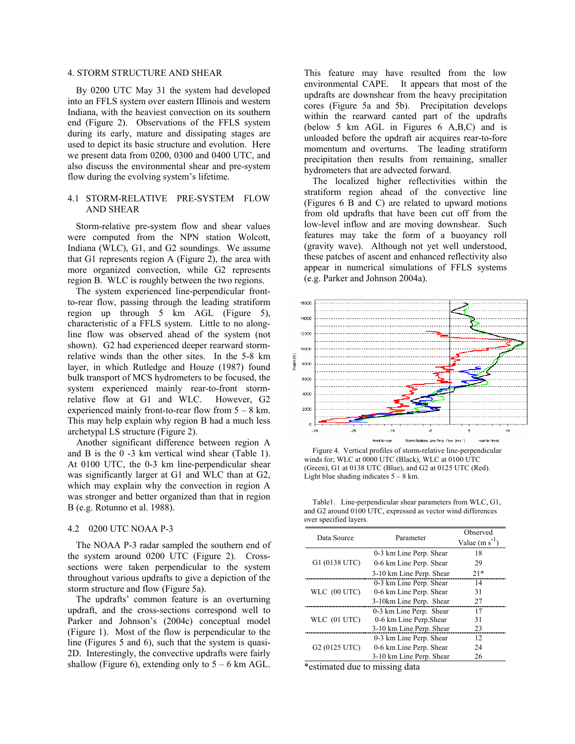# 4. STORM STRUCTURE AND SHEAR

By 0200 UTC May 31 the system had developed into an FFLS system over eastern Illinois and western Indiana, with the heaviest convection on its southern end (Figure 2). Observations of the FFLS system during its early, mature and dissipating stages are used to depict its basic structure and evolution. Here we present data from 0200, 0300 and 0400 UTC, and also discuss the environmental shear and pre-system flow during the evolving system's lifetime.

#### 4.1 STORM-RELATIVE PRE-SYSTEM FLOW AND SHEAR

Storm-relative pre-system flow and shear values were computed from the NPN station Wolcott, Indiana (WLC), G1, and G2 soundings. We assume that G1 represents region A (Figure 2), the area with more organized convection, while G2 represents region B. WLC is roughly between the two regions.

The system experienced line-perpendicular frontto-rear flow, passing through the leading stratiform region up through 5 km AGL (Figure 5), characteristic of a FFLS system. Little to no alongline flow was observed ahead of the system (not shown). G2 had experienced deeper rearward stormrelative winds than the other sites. In the 5-8 km layer, in which Rutledge and Houze (1987) found bulk transport of MCS hydrometers to be focused, the system experienced mainly rear-to-front stormrelative flow at G1 and WLC. However, G2 experienced mainly front-to-rear flow from  $5 - 8$  km. This may help explain why region B had a much less archetypal LS structure (Figure 2).

Another significant difference between region A and B is the 0 -3 km vertical wind shear (Table 1). At 0100 UTC, the 0-3 km line-perpendicular shear was significantly larger at G1 and WLC than at G2, which may explain why the convection in region A was stronger and better organized than that in region B (e.g. Rotunno et al. 1988).

### 4.2 0200 UTC NOAA P-3

The NOAA P-3 radar sampled the southern end of the system around 0200 UTC (Figure 2). Crosssections were taken perpendicular to the system throughout various updrafts to give a depiction of the storm structure and flow (Figure 5a).

The updrafts' common feature is an overturning updraft, and the cross-sections correspond well to Parker and Johnson's (2004c) conceptual model (Figure 1). Most of the flow is perpendicular to the line (Figures 5 and 6), such that the system is quasi-2D. Interestingly, the convective updrafts were fairly shallow (Figure 6), extending only to  $5 - 6$  km AGL. This feature may have resulted from the low environmental CAPE. It appears that most of the updrafts are downshear from the heavy precipitation cores (Figure 5a and 5b). Precipitation develops within the rearward canted part of the updrafts (below 5 km AGL in Figures 6 A,B,C) and is unloaded before the updraft air acquires rear-to-fore momentum and overturns. The leading stratiform precipitation then results from remaining, smaller hydrometers that are advected forward.

The localized higher reflectivities within the stratiform region ahead of the convective line (Figures 6 B and C) are related to upward motions from old updrafts that have been cut off from the low-level inflow and are moving downshear. Such features may take the form of a buoyancy roll (gravity wave). Although not yet well understood, these patches of ascent and enhanced reflectivity also appear in numerical simulations of FFLS systems (e.g. Parker and Johnson 2004a).



Figure 4. Vertical profiles of storm-relative line-perpendicular winds for; WLC at 0000 UTC (Black), WLC at 0100 UTC (Green), G1 at 0138 UTC (Blue), and G2 at 0125 UTC (Red). Light blue shading indicates  $5 - 8$  km.

|                        | Table 1. Line-perpendicular shear parameters from WLC, G1,   |
|------------------------|--------------------------------------------------------------|
|                        | and G2 around 0100 UTC, expressed as vector wind differences |
| over specified layers. |                                                              |

|                           | Parameter                | Observed   |
|---------------------------|--------------------------|------------|
| Data Source               |                          | Value (m s |
|                           | 0-3 km Line Perp. Shear  | 18         |
| G1 (0138 UTC)             | 0-6 km Line Perp. Shear  | 29         |
|                           | 3-10 km Line Perp. Shear | $21*$      |
|                           | 0-3 km Line Perp. Shear  | 14         |
| WLC (00 UTC)              | 0-6 km Line Perp. Shear  | 31         |
|                           | 3-10km Line Perp. Shear  | 27         |
|                           | 0-3 km Line Perp. Shear  | 17         |
| WLC (01 UTC)              | 0-6 km Line Perp. Shear  | 31         |
|                           | 3-10 km Line Perp. Shear | 23         |
|                           | 0-3 km Line Perp. Shear  | 12         |
| G <sub>2</sub> (0125 UTC) | 0-6 km Line Perp. Shear  | 24         |
|                           | 3-10 km Line Perp. Shear | 26         |

\*estimated due to missing data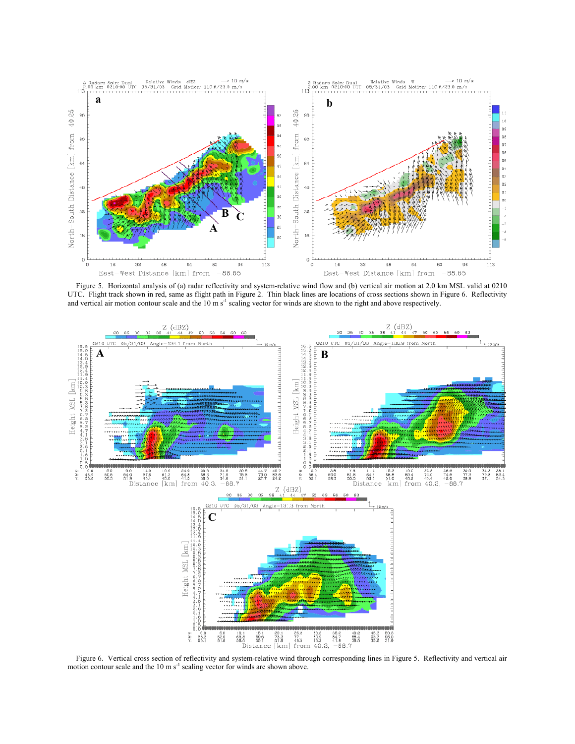

Figure 5. Horizontal analysis of (a) radar reflectivity and system-relative wind flow and (b) vertical air motion at 2.0 km MSL valid at 0210 UTC. Flight track shown in red, same as flight path in Figure 2. Thin black lines are locations of cross sections shown in Figure 6. Reflectivity and vertical air motion contour scale and the 10 m s<sup>-1</sup> scaling vector for winds are shown to the right and above respectively.



Figure 6. Vertical cross section of reflectivity and system-relative wind through corresponding lines in Figure 5. Reflectivity and vertical air motion contour scale and the  $10 \text{ m s}^{-1}$  scaling vector for winds are shown above.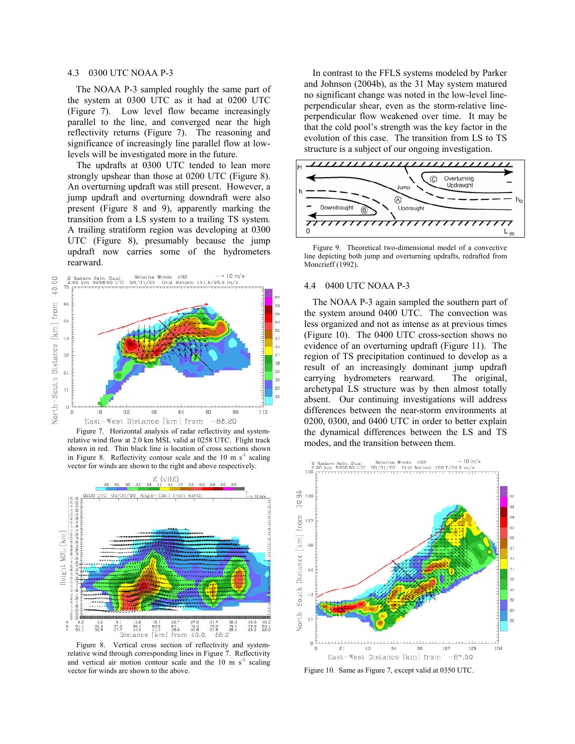### 4.3 0300 UTC NOAA P-3

The NOAA P-3 sampled roughly the same part of the system at 0300 UTC as it had at 0200 UTC (Figure 7). Low level flow became increasingly parallel to the line, and converged near the high reflectivity returns (Figure 7). The reasoning and significance of increasingly line parallel flow at lowlevels will be investigated more in the future.

The updrafts at 0300 UTC tended to lean more strongly upshear than those at 0200 UTC (Figure 8). An overturning updraft was still present. However, a jump updraft and overturning downdraft were also present (Figure 8 and 9), apparently marking the transition from a LS system to a trailing TS system. A trailing stratiform region was developing at 0300 UTC (Figure 8), presumably because the jump updraft now carries some of the hydrometers rearward.



Figure 7. Horizontal analysis of radar reflectivity and systemrelative wind flow at 2.0 km MSL valid at 0258 UTC. Flight track shown in red. Thin black line is location of cross sections shown in Figure 8. Reflectivity contour scale and the  $10 \text{ m s}^{-1}$  scaling vector for winds are shown to the right and above respectively.



Figure 8. Vertical cross section of reflectivity and systemrelative wind through corresponding lines in Figure 7. Reflectivity and vertical air motion contour scale and the  $10 \text{ m s}^{-1}$  scaling vector for winds are shown to the above.

In contrast to the FFLS systems modeled by Parker and Johnson (2004b), as the 31 May system matured no significant change was noted in the low-level lineperpendicular shear, even as the storm-relative lineperpendicular flow weakened over time. It may be that the cold pool's strength was the key factor in the evolution of this case. The transition from LS to TS structure is a subject of our ongoing investigation.



Figure 9. Theoretical two-dimensional model of a convective line depicting both jump and overturning updrafts, redrafted from Moncrieff (1992).

### 4.4 0400 UTC NOAA P-3

The NOAA P-3 again sampled the southern part of the system around 0400 UTC. The convection was less organized and not as intense as at previous times (Figure 10). The 0400 UTC cross-section shows no evidence of an overturning updraft (Figure 11). The region of TS precipitation continued to develop as a result of an increasingly dominant jump updraft carrying hydrometers rearward. The original, archetypal LS structure was by then almost totally absent. Our continuing investigations will address differences between the near-storm environments at 0200, 0300, and 0400 UTC in order to better explain the dynamical differences between the LS and TS modes, and the transition between them.



Figure 10. Same as Figure 7, except valid at 0350 UTC.